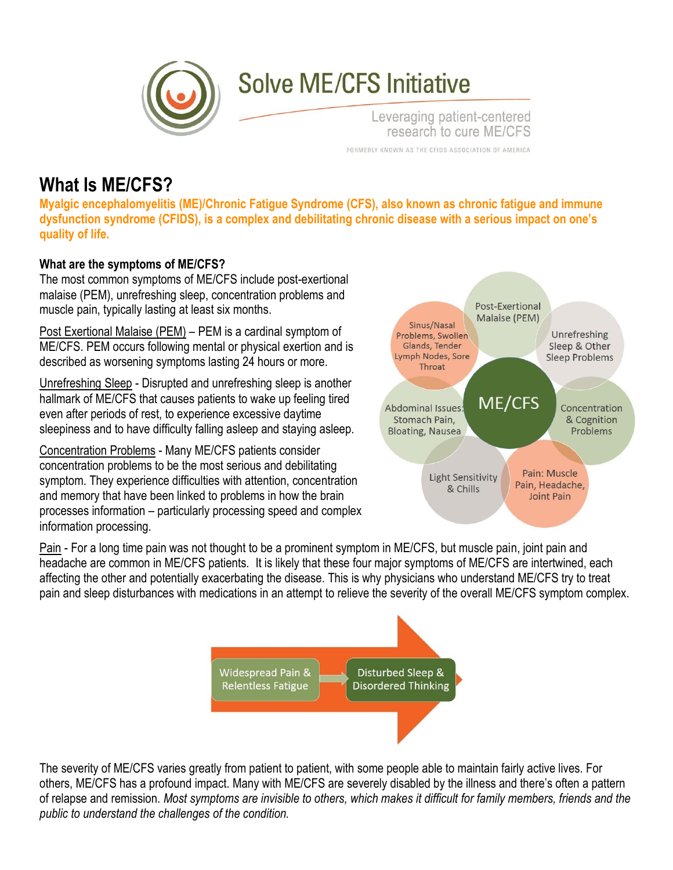

# **Solve ME/CFS Initiative**

Leveraging patient-centered research to cure ME/CFS FORMERLY KNOWN AS THE CFIDS ASSOCIATION OF AMERICA

## **What Is ME/CFS?**

**Myalgic encephalomyelitis (ME)/Chronic Fatigue Syndrome (CFS), also known as chronic fatigue and immune dysfunction syndrome (CFIDS), is a complex and debilitating chronic disease with a serious impact on one's quality of life.**

### **What are the symptoms of ME/CFS?**

The most common symptoms of ME/CFS include post-exertional malaise (PEM), unrefreshing sleep, concentration problems and muscle pain, typically lasting at least six months.

Post Exertional Malaise (PEM) – PEM is a cardinal symptom of ME/CFS. PEM occurs following mental or physical exertion and is described as worsening symptoms lasting 24 hours or more.

Unrefreshing Sleep - Disrupted and unrefreshing sleep is another hallmark of ME/CFS that causes patients to wake up feeling tired even after periods of rest, to experience excessive daytime sleepiness and to have difficulty falling asleep and staying asleep.

Concentration Problems - Many ME/CFS patients consider concentration problems to be the most serious and debilitating symptom. They experience difficulties with attention, concentration and memory that have been linked to problems in how the brain processes information – particularly processing speed and complex information processing.



Pain - For a long time pain was not thought to be a prominent symptom in ME/CFS, but muscle pain, joint pain and headache are common in ME/CFS patients. It is likely that these four major symptoms of ME/CFS are intertwined, each affecting the other and potentially exacerbating the disease. This is why physicians who understand ME/CFS try to treat pain and sleep disturbances with medications in an attempt to relieve the severity of the overall ME/CFS symptom complex.



The severity of ME/CFS varies greatly from patient to patient, with some people able to maintain fairly active lives. For others, ME/CFS has a profound impact. Many with ME/CFS are severely disabled by the illness and there's often a pattern of relapse and remission. Most symptoms are invisible to others, which makes it difficult for family members, friends and the *public to understand the challenges of the condition.*